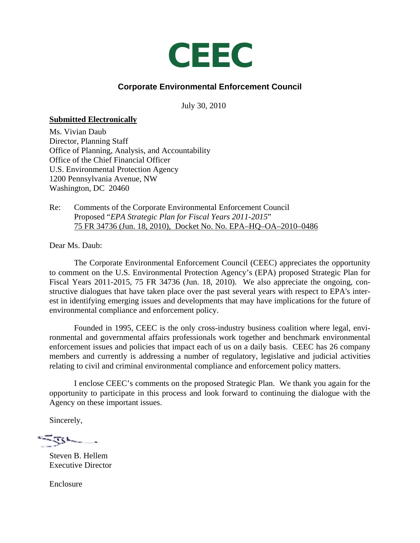

# **Corporate Environmental Enforcement Council**

July 30, 2010

#### **Submitted Electronically**

Ms. Vivian Daub Director, Planning Staff Office of Planning, Analysis, and Accountability Office of the Chief Financial Officer U.S. Environmental Protection Agency 1200 Pennsylvania Avenue, NW Washington, DC 20460

Re: Comments of the Corporate Environmental Enforcement Council Proposed "*EPA Strategic Plan for Fiscal Years 2011-2015*" 75 FR 34736 (Jun. 18, 2010), Docket No. No. EPA–HQ–OA–2010–0486.

Dear Ms. Daub:

The Corporate Environmental Enforcement Council (CEEC) appreciates the opportunity to comment on the U.S. Environmental Protection Agency's (EPA) proposed Strategic Plan for Fiscal Years 2011-2015, 75 FR 34736 (Jun. 18, 2010). We also appreciate the ongoing, constructive dialogues that have taken place over the past several years with respect to EPA's interest in identifying emerging issues and developments that may have implications for the future of environmental compliance and enforcement policy.

Founded in 1995, CEEC is the only cross-industry business coalition where legal, environmental and governmental affairs professionals work together and benchmark environmental enforcement issues and policies that impact each of us on a daily basis. CEEC has 26 company members and currently is addressing a number of regulatory, legislative and judicial activities relating to civil and criminal environmental compliance and enforcement policy matters.

I enclose CEEC's comments on the proposed Strategic Plan. We thank you again for the opportunity to participate in this process and look forward to continuing the dialogue with the Agency on these important issues.

Sincerely,

ستسترج است ...

Steven B. Hellem Executive Director

Enclosure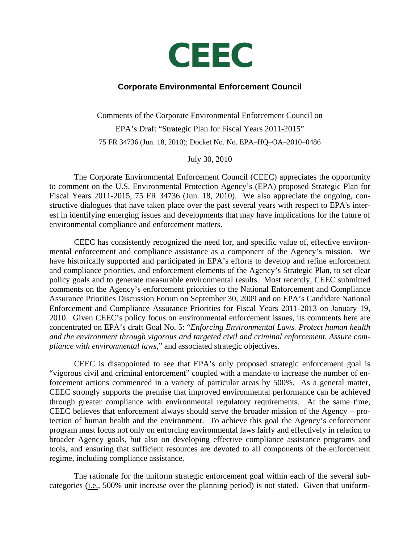# **CEEC**

## **Corporate Environmental Enforcement Council**

Comments of the Corporate Environmental Enforcement Council on EPA's Draft "Strategic Plan for Fiscal Years 2011-2015" 75 FR 34736 (Jun. 18, 2010); Docket No. No. EPA–HQ–OA–2010–0486

July 30, 2010

The Corporate Environmental Enforcement Council (CEEC) appreciates the opportunity to comment on the U.S. Environmental Protection Agency's (EPA) proposed Strategic Plan for Fiscal Years 2011-2015, 75 FR 34736 (Jun. 18, 2010). We also appreciate the ongoing, constructive dialogues that have taken place over the past several years with respect to EPA's interest in identifying emerging issues and developments that may have implications for the future of environmental compliance and enforcement matters.

CEEC has consistently recognized the need for, and specific value of, effective environmental enforcement and compliance assistance as a component of the Agency's mission. We have historically supported and participated in EPA's efforts to develop and refine enforcement and compliance priorities, and enforcement elements of the Agency's Strategic Plan, to set clear policy goals and to generate measurable environmental results. Most recently, CEEC submitted comments on the Agency's enforcement priorities to the National Enforcement and Compliance Assurance Priorities Discussion Forum on September 30, 2009 and on EPA's Candidate National Enforcement and Compliance Assurance Priorities for Fiscal Years 2011-2013 on January 19, 2010. Given CEEC's policy focus on environmental enforcement issues, its comments here are concentrated on EPA's draft Goal No. 5: "*Enforcing Environmental Laws. Protect human health and the environment through vigorous and targeted civil and criminal enforcement. Assure compliance with environmental laws*," and associated strategic objectives.

CEEC is disappointed to see that EPA's only proposed strategic enforcement goal is "vigorous civil and criminal enforcement" coupled with a mandate to increase the number of enforcement actions commenced in a variety of particular areas by 500%. As a general matter, CEEC strongly supports the premise that improved environmental performance can be achieved through greater compliance with environmental regulatory requirements. At the same time, CEEC believes that enforcement always should serve the broader mission of the Agency – protection of human health and the environment. To achieve this goal the Agency's enforcement program must focus not only on enforcing environmental laws fairly and effectively in relation to broader Agency goals, but also on developing effective compliance assistance programs and tools, and ensuring that sufficient resources are devoted to all components of the enforcement regime, including compliance assistance.

The rationale for the uniform strategic enforcement goal within each of the several subcategories  $(i.e., 500\%$  unit increase over the planning period) is not stated. Given that uniform-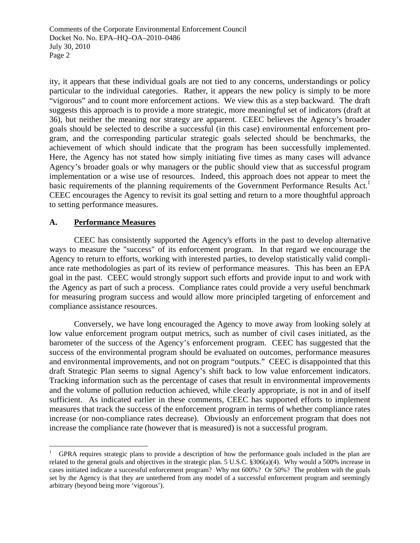ity, it appears that these individual goals are not tied to any concerns, understandings or policy particular to the individual categories. Rather, it appears the new policy is simply to be more "vigorous" and to count more enforcement actions. We view this as a step backward. The draft suggests this approach is to provide a more strategic, more meaningful set of indicators (draft at 36), but neither the meaning nor strategy are apparent. CEEC believes the Agency's broader goals should be selected to describe a successful (in this case) environmental enforcement program, and the corresponding particular strategic goals selected should be benchmarks, the achievement of which should indicate that the program has been successfully implemented. Here, the Agency has not stated how simply initiating five times as many cases will advance Agency's broader goals or why managers or the public should view that as successful program implementation or a wise use of resources. Indeed, this approach does not appear to meet the basic requirements of the planning requirements of the Government Performance Results Act.<sup>1</sup> CEEC encourages the Agency to revisit its goal setting and return to a more thoughtful approach to setting performance measures.

#### **A. Performance Measures**

 $\overline{a}$ 

 CEEC has consistently supported the Agency's efforts in the past to develop alternative ways to measure the "success" of its enforcement program. In that regard we encourage the Agency to return to efforts, working with interested parties, to develop statistically valid compliance rate methodologies as part of its review of performance measures. This has been an EPA goal in the past. CEEC would strongly support such efforts and provide input to and work with the Agency as part of such a process. Compliance rates could provide a very useful benchmark for measuring program success and would allow more principled targeting of enforcement and compliance assistance resources.

 Conversely, we have long encouraged the Agency to move away from looking solely at low value enforcement program output metrics, such as number of civil cases initiated, as the barometer of the success of the Agency's enforcement program. CEEC has suggested that the success of the environmental program should be evaluated on outcomes, performance measures and environmental improvements, and not on program "outputs." CEEC is disappointed that this draft Strategic Plan seems to signal Agency's shift back to low value enforcement indicators. Tracking information such as the percentage of cases that result in environmental improvements and the volume of pollution reduction achieved, while clearly appropriate, is not in and of itself sufficient. As indicated earlier in these comments, CEEC has supported efforts to implement measures that track the success of the enforcement program in terms of whether compliance rates increase (or non-compliance rates decrease). Obviously an enforcement program that does not increase the compliance rate (however that is measured) is not a successful program.

<sup>1</sup> GPRA requires strategic plans to provide a description of how the performance goals included in the plan are related to the general goals and objectives in the strategic plan. 5 U.S.C. §306(a)(4). Why would a 500% increase in cases initiated indicate a successful enforcement program? Why not 600%? Or 50%? The problem with the goals set by the Agency is that they are untethered from any model of a successful enforcement program and seemingly arbitrary (beyond being more 'vigorous').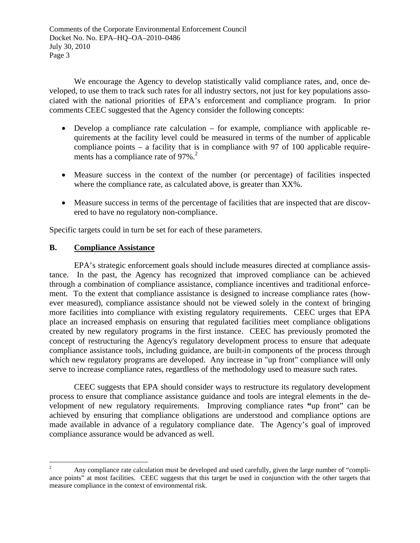We encourage the Agency to develop statistically valid compliance rates, and, once developed, to use them to track such rates for all industry sectors, not just for key populations associated with the national priorities of EPA's enforcement and compliance program. In prior comments CEEC suggested that the Agency consider the following concepts:

- Develop a compliance rate calculation for example, compliance with applicable requirements at the facility level could be measured in terms of the number of applicable compliance points – a facility that is in compliance with 97 of 100 applicable requirements has a compliance rate of  $97\%$ <sup>2</sup>
- Measure success in the context of the number (or percentage) of facilities inspected where the compliance rate, as calculated above, is greater than XX%.
- Measure success in terms of the percentage of facilities that are inspected that are discovered to have no regulatory non-compliance.

Specific targets could in turn be set for each of these parameters.

## **B. Compliance Assistance**

 EPA's strategic enforcement goals should include measures directed at compliance assistance. In the past, the Agency has recognized that improved compliance can be achieved through a combination of compliance assistance, compliance incentives and traditional enforcement. To the extent that compliance assistance is designed to increase compliance rates (however measured), compliance assistance should not be viewed solely in the context of bringing more facilities into compliance with existing regulatory requirements. CEEC urges that EPA place an increased emphasis on ensuring that regulated facilities meet compliance obligations created by new regulatory programs in the first instance. CEEC has previously promoted the concept of restructuring the Agency's regulatory development process to ensure that adequate compliance assistance tools, including guidance, are built-in components of the process through which new regulatory programs are developed. Any increase in "up front" compliance will only serve to increase compliance rates, regardless of the methodology used to measure such rates.

 CEEC suggests that EPA should consider ways to restructure its regulatory development process to ensure that compliance assistance guidance and tools are integral elements in the development of new regulatory requirements. Improving compliance rates **"**up front" can be achieved by ensuring that compliance obligations are understood and compliance options are made available in advance of a regulatory compliance date. The Agency's goal of improved compliance assurance would be advanced as well.

<sup>1</sup> 2 Any compliance rate calculation must be developed and used carefully, given the large number of "compliance points" at most facilities. CEEC suggests that this target be used in conjunction with the other targets that measure compliance in the context of environmental risk.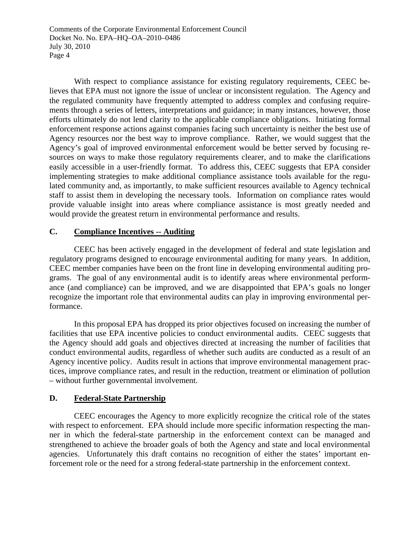With respect to compliance assistance for existing regulatory requirements, CEEC believes that EPA must not ignore the issue of unclear or inconsistent regulation. The Agency and the regulated community have frequently attempted to address complex and confusing requirements through a series of letters, interpretations and guidance; in many instances, however, those efforts ultimately do not lend clarity to the applicable compliance obligations. Initiating formal enforcement response actions against companies facing such uncertainty is neither the best use of Agency resources nor the best way to improve compliance. Rather, we would suggest that the Agency's goal of improved environmental enforcement would be better served by focusing resources on ways to make those regulatory requirements clearer, and to make the clarifications easily accessible in a user-friendly format. To address this, CEEC suggests that EPA consider implementing strategies to make additional compliance assistance tools available for the regulated community and, as importantly, to make sufficient resources available to Agency technical staff to assist them in developing the necessary tools. Information on compliance rates would provide valuable insight into areas where compliance assistance is most greatly needed and would provide the greatest return in environmental performance and results.

## **C. Compliance Incentives -- Auditing**

 CEEC has been actively engaged in the development of federal and state legislation and regulatory programs designed to encourage environmental auditing for many years. In addition, CEEC member companies have been on the front line in developing environmental auditing programs. The goal of any environmental audit is to identify areas where environmental performance (and compliance) can be improved, and we are disappointed that EPA's goals no longer recognize the important role that environmental audits can play in improving environmental performance.

 In this proposal EPA has dropped its prior objectives focused on increasing the number of facilities that use EPA incentive policies to conduct environmental audits. CEEC suggests that the Agency should add goals and objectives directed at increasing the number of facilities that conduct environmental audits, regardless of whether such audits are conducted as a result of an Agency incentive policy. Audits result in actions that improve environmental management practices, improve compliance rates, and result in the reduction, treatment or elimination of pollution – without further governmental involvement.

#### **D. Federal-State Partnership**

 CEEC encourages the Agency to more explicitly recognize the critical role of the states with respect to enforcement. EPA should include more specific information respecting the manner in which the federal-state partnership in the enforcement context can be managed and strengthened to achieve the broader goals of both the Agency and state and local environmental agencies. Unfortunately this draft contains no recognition of either the states' important enforcement role or the need for a strong federal-state partnership in the enforcement context.